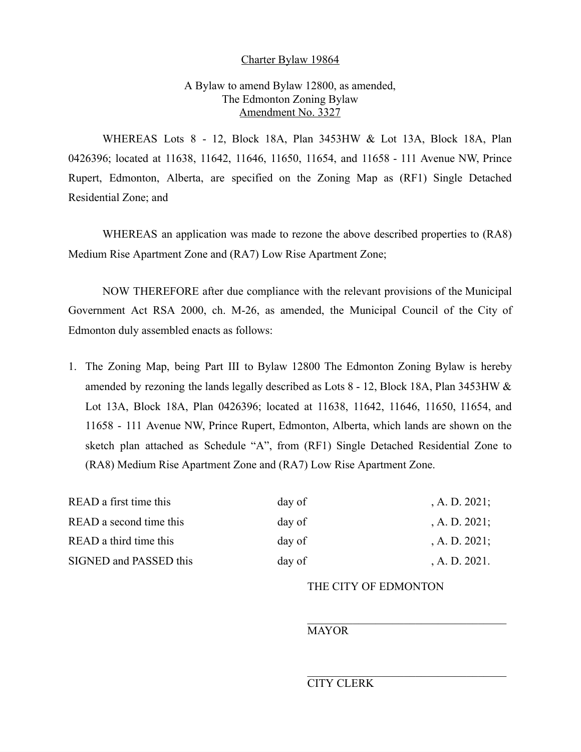#### Charter Bylaw 19864

# A Bylaw to amend Bylaw 12800, as amended, The Edmonton Zoning Bylaw Amendment No. 3327

WHEREAS Lots 8 - 12, Block 18A, Plan 3453HW & Lot 13A, Block 18A, Plan 0426396; located at 11638, 11642, 11646, 11650, 11654, and 11658 - 111 Avenue NW, Prince Rupert, Edmonton, Alberta, are specified on the Zoning Map as (RF1) Single Detached Residential Zone; and

WHEREAS an application was made to rezone the above described properties to (RA8) Medium Rise Apartment Zone and (RA7) Low Rise Apartment Zone;

NOW THEREFORE after due compliance with the relevant provisions of the Municipal Government Act RSA 2000, ch. M-26, as amended, the Municipal Council of the City of Edmonton duly assembled enacts as follows:

1. The Zoning Map, being Part III to Bylaw 12800 The Edmonton Zoning Bylaw is hereby amended by rezoning the lands legally described as Lots 8 - 12, Block 18A, Plan 3453HW & Lot 13A, Block 18A, Plan 0426396; located at 11638, 11642, 11646, 11650, 11654, and 11658 - 111 Avenue NW, Prince Rupert, Edmonton, Alberta, which lands are shown on the sketch plan attached as Schedule "A", from (RF1) Single Detached Residential Zone to (RA8) Medium Rise Apartment Zone and (RA7) Low Rise Apartment Zone.

| READ a first time this  | day of | , A. D. $2021$ ; |
|-------------------------|--------|------------------|
| READ a second time this | day of | , A. D. $2021$ ; |
| READ a third time this  | day of | , A. D. $2021$ ; |
| SIGNED and PASSED this  | day of | , A. D. $2021$ . |

## THE CITY OF EDMONTON

## MAYOR

#### CITY CLERK